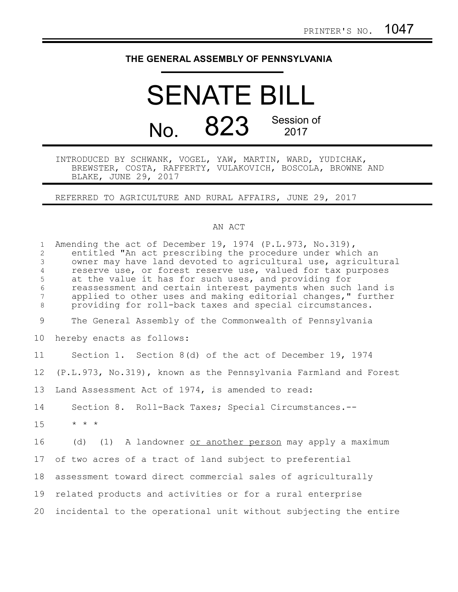## **THE GENERAL ASSEMBLY OF PENNSYLVANIA**

## SENATE BILL No. 823 Session of 2017

INTRODUCED BY SCHWANK, VOGEL, YAW, MARTIN, WARD, YUDICHAK, BREWSTER, COSTA, RAFFERTY, VULAKOVICH, BOSCOLA, BROWNE AND BLAKE, JUNE 29, 2017

REFERRED TO AGRICULTURE AND RURAL AFFAIRS, JUNE 29, 2017

## AN ACT

| $\mathbf{1}$<br>$\overline{2}$<br>$\mathfrak{Z}$<br>$\overline{4}$<br>5<br>$\epsilon$<br>$7\phantom{.0}$<br>$\,8\,$ | Amending the act of December 19, 1974 (P.L.973, No.319),<br>entitled "An act prescribing the procedure under which an<br>owner may have land devoted to agricultural use, agricultural<br>reserve use, or forest reserve use, valued for tax purposes<br>at the value it has for such uses, and providing for<br>reassessment and certain interest payments when such land is<br>applied to other uses and making editorial changes, " further<br>providing for roll-back taxes and special circumstances. |
|---------------------------------------------------------------------------------------------------------------------|------------------------------------------------------------------------------------------------------------------------------------------------------------------------------------------------------------------------------------------------------------------------------------------------------------------------------------------------------------------------------------------------------------------------------------------------------------------------------------------------------------|
| $\mathcal{G}$                                                                                                       | The General Assembly of the Commonwealth of Pennsylvania                                                                                                                                                                                                                                                                                                                                                                                                                                                   |
| 10 <sub>o</sub>                                                                                                     | hereby enacts as follows:                                                                                                                                                                                                                                                                                                                                                                                                                                                                                  |
| 11                                                                                                                  | Section 1. Section 8(d) of the act of December 19, 1974                                                                                                                                                                                                                                                                                                                                                                                                                                                    |
| 12                                                                                                                  | (P.L.973, No.319), known as the Pennsylvania Farmland and Forest                                                                                                                                                                                                                                                                                                                                                                                                                                           |
| 13                                                                                                                  | Land Assessment Act of 1974, is amended to read:                                                                                                                                                                                                                                                                                                                                                                                                                                                           |
| 14                                                                                                                  | Section 8. Roll-Back Taxes; Special Circumstances.--                                                                                                                                                                                                                                                                                                                                                                                                                                                       |
| 15                                                                                                                  | $\star$ $\;\star$ $\;\star$                                                                                                                                                                                                                                                                                                                                                                                                                                                                                |
| 16                                                                                                                  | (d) (1) A landowner or another person may apply a maximum                                                                                                                                                                                                                                                                                                                                                                                                                                                  |
| 17                                                                                                                  | of two acres of a tract of land subject to preferential                                                                                                                                                                                                                                                                                                                                                                                                                                                    |
| 18                                                                                                                  | assessment toward direct commercial sales of agriculturally                                                                                                                                                                                                                                                                                                                                                                                                                                                |
| 19                                                                                                                  | related products and activities or for a rural enterprise                                                                                                                                                                                                                                                                                                                                                                                                                                                  |
| 20                                                                                                                  | incidental to the operational unit without subjecting the entire                                                                                                                                                                                                                                                                                                                                                                                                                                           |